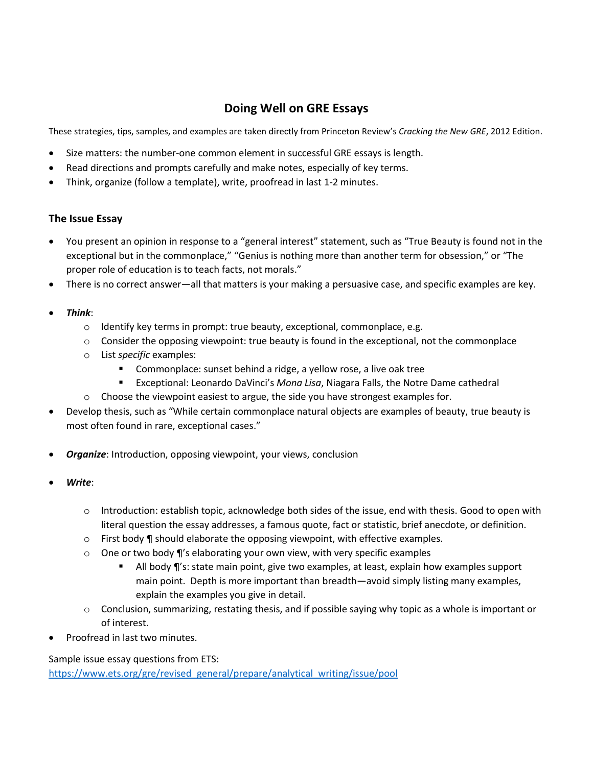## **Doing Well on GRE Essays**

These strategies, tips, samples, and examples are taken directly from Princeton Review's *Cracking the New GRE*, 2012 Edition.

- Size matters: the number-one common element in successful GRE essays is length.
- Read directions and prompts carefully and make notes, especially of key terms.
- Think, organize (follow a template), write, proofread in last 1-2 minutes.

## **The Issue Essay**

- You present an opinion in response to a "general interest" statement, such as "True Beauty is found not in the exceptional but in the commonplace," "Genius is nothing more than another term for obsession," or "The proper role of education is to teach facts, not morals."
- There is no correct answer—all that matters is your making a persuasive case, and specific examples are key.
- *Think*:
	- o Identify key terms in prompt: true beauty, exceptional, commonplace, e.g.
	- $\circ$  Consider the opposing viewpoint: true beauty is found in the exceptional, not the commonplace
	- o List *specific* examples:
		- **Commonplace:** sunset behind a ridge, a yellow rose, a live oak tree
		- Exceptional: Leonardo DaVinci's *Mona Lisa*, Niagara Falls, the Notre Dame cathedral
	- $\circ$  Choose the viewpoint easiest to argue, the side you have strongest examples for.
- Develop thesis, such as "While certain commonplace natural objects are examples of beauty, true beauty is most often found in rare, exceptional cases."
- *Organize*: Introduction, opposing viewpoint, your views, conclusion
- *Write*:
	- o Introduction: establish topic, acknowledge both sides of the issue, end with thesis. Good to open with literal question the essay addresses, a famous quote, fact or statistic, brief anecdote, or definition.
	- $\circ$  First body  $\P$  should elaborate the opposing viewpoint, with effective examples.
	- o One or two body ¶'s elaborating your own view, with very specific examples
		- **All body ¶'s: state main point, give two examples, at least, explain how examples support** main point. Depth is more important than breadth—avoid simply listing many examples, explain the examples you give in detail.
	- o Conclusion, summarizing, restating thesis, and if possible saying why topic as a whole is important or of interest.
- Proofread in last two minutes.

Sample issue essay questions from ETS:

[https://www.ets.org/gre/revised\\_general/prepare/analytical\\_writing/issue/pool](https://www.ets.org/gre/revised_general/prepare/analytical_writing/issue/pool)